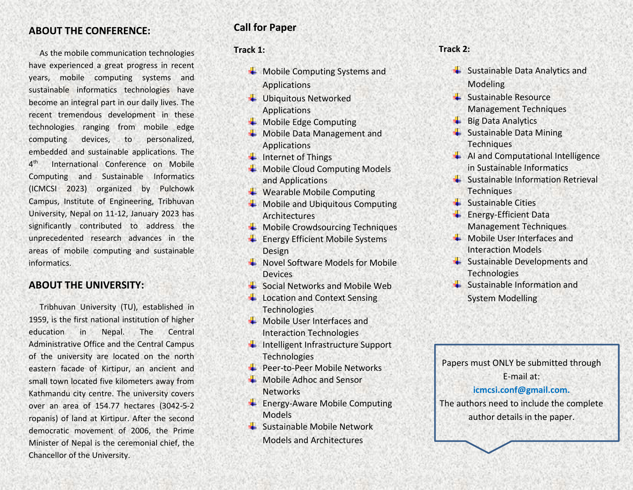### **ABOUT THE CONFERENCE:**

As the mobile communication technologies have experienced a great progress in recent years, mobile computing systems and sustainable informatics technologies have become an integral part in our daily lives. The recent tremendous development in these technologies ranging from mobile edge computing devices, to personalized, embedded and sustainable applications. The  $4<sup>th</sup>$ International Conference on Mobile Computing and Sustainable Informatics (ICMCSI 2023) organized by Pulchowk Campus, Institute of Engineering, Tribhuvan University, Nepal on 11-12, January 2023 has significantly contributed to address the unprecedented research advances in the areas of mobile computing and sustainable informatics.

### **ABOUT THE UNIVERSITY:**

Tribhuvan University (TU), established in 1959, is the first national institution of higher education in Nepal. The Central Administrative Office and the Central Campus of the university are located on the north eastern facade of Kirtipur, an ancient and small town located five kilometers away from Kathmandu city centre. The university covers over an area of 154.77 hectares (3042-5-2 ropanis) of land at Kirtipur. After the second democratic movement of 2006, the Prime Minister of Nepal is the ceremonial chief, the Chancellor of the University.

## **Call for Paper**

#### **Track 1:**

- Mobile Computing Systems and Applications
- Ubiquitous Networked Applications
- $\overline{\phantom{a}}$  Mobile Edge Computing
- **W** Mobile Data Management and Applications
- $\ddot{\phantom{1}}$  Internet of Things
- Mobile Cloud Computing Models and Applications
- **↓** Wearable Mobile Computing
- $\downarrow$  Mobile and Ubiquitous Computing Architectures
- $\bigstar$  Mobile Crowdsourcing Techniques
- $\overline{\phantom{a}}$  Energy Efficient Mobile Systems Design
- $\textcolor{red}{\bullet}$  Novel Software Models for Mobile Devices
- **→** Social Networks and Mobile Web
- **Location and Context Sensing Technologies**
- $\overline{\phantom{a}}$  Mobile User Interfaces and Interaction Technologies
- $\ddot{\phantom{1}}$  Intelligent Infrastructure Support Technologies
- **Peer-to-Peer Mobile Networks**
- $\perp$  Mobile Adhoc and Sensor Networks
- **Energy-Aware Mobile Computing Models**
- $\overline{\phantom{a}}$  Sustainable Mobile Network Models and Architectures

#### **Track 2:**

- ↓ Sustainable Data Analytics and Modeling
- $\leftarrow$  Sustainable Resource Management Techniques
- $\overline{\phantom{a}}$  Big Data Analytics
- $\frac{1}{\sqrt{2}}$  Sustainable Data Mining **Techniques**
- $\frac{1}{\sqrt{2}}$  AI and Computational Intelligence in Sustainable Informatics
- $\leftarrow$  Sustainable Information Retrieval Techniques
- $\frac{1}{\sqrt{2}}$  Sustainable Cities
- **Energy-Efficient Data** Management Techniques
- $\textcolor{red}{\bullet}$  Mobile User Interfaces and Interaction Models
- $\leftarrow$  Sustainable Developments and Technologies
- $\frac{1}{2}$  Sustainable Information and System Modelling



The authors need to include the complete author details in the paper.